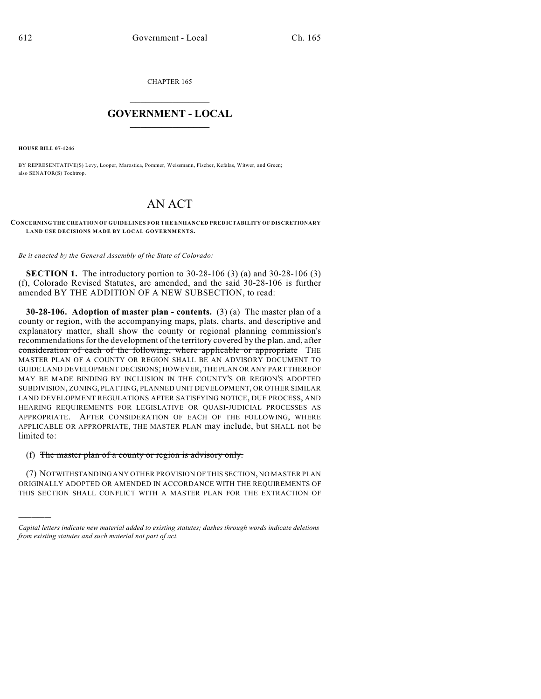CHAPTER 165

## $\overline{\phantom{a}}$  . The set of the set of the set of the set of the set of the set of the set of the set of the set of the set of the set of the set of the set of the set of the set of the set of the set of the set of the set o **GOVERNMENT - LOCAL**  $\_$

**HOUSE BILL 07-1246**

)))))

BY REPRESENTATIVE(S) Levy, Looper, Marostica, Pommer, Weissmann, Fischer, Kefalas, Witwer, and Green; also SENATOR(S) Tochtrop.

## AN ACT

**CONCERNING THE CREATION OF GUIDELINES FOR THE ENHANCED PREDICTABILITY OF DISCRETIONARY LAND USE DECISIONS MADE BY LOCAL GOVERNMENTS.**

*Be it enacted by the General Assembly of the State of Colorado:*

**SECTION 1.** The introductory portion to 30-28-106 (3) (a) and 30-28-106 (3) (f), Colorado Revised Statutes, are amended, and the said 30-28-106 is further amended BY THE ADDITION OF A NEW SUBSECTION, to read:

**30-28-106. Adoption of master plan - contents.** (3) (a) The master plan of a county or region, with the accompanying maps, plats, charts, and descriptive and explanatory matter, shall show the county or regional planning commission's recommendations for the development of the territory covered by the plan. and, after consideration of each of the following, where applicable or appropriate THE MASTER PLAN OF A COUNTY OR REGION SHALL BE AN ADVISORY DOCUMENT TO GUIDE LAND DEVELOPMENT DECISIONS; HOWEVER, THE PLAN OR ANY PART THEREOF MAY BE MADE BINDING BY INCLUSION IN THE COUNTY'S OR REGION'S ADOPTED SUBDIVISION, ZONING, PLATTING, PLANNED UNIT DEVELOPMENT, OR OTHER SIMILAR LAND DEVELOPMENT REGULATIONS AFTER SATISFYING NOTICE, DUE PROCESS, AND HEARING REQUIREMENTS FOR LEGISLATIVE OR QUASI-JUDICIAL PROCESSES AS APPROPRIATE. AFTER CONSIDERATION OF EACH OF THE FOLLOWING, WHERE APPLICABLE OR APPROPRIATE, THE MASTER PLAN may include, but SHALL not be limited to:

## (f) The master plan of a county or region is advisory only.

(7) NOTWITHSTANDING ANY OTHER PROVISION OF THIS SECTION, NO MASTER PLAN ORIGINALLY ADOPTED OR AMENDED IN ACCORDANCE WITH THE REQUIREMENTS OF THIS SECTION SHALL CONFLICT WITH A MASTER PLAN FOR THE EXTRACTION OF

*Capital letters indicate new material added to existing statutes; dashes through words indicate deletions from existing statutes and such material not part of act.*